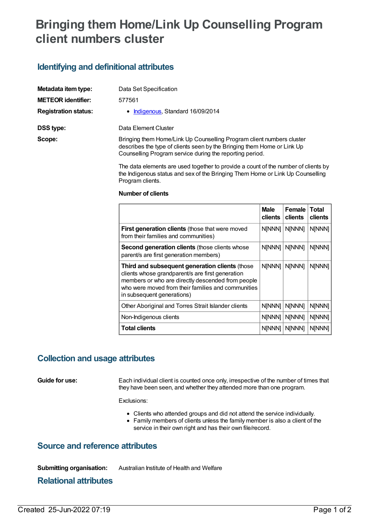# **Bringing them Home/Link Up Counselling Program client numbers cluster**

## **Identifying and definitional attributes**

| Metadata item type:         | Data Set Specification                                                                                                                                                                                       |
|-----------------------------|--------------------------------------------------------------------------------------------------------------------------------------------------------------------------------------------------------------|
| <b>METEOR identifier:</b>   | 577561                                                                                                                                                                                                       |
| <b>Registration status:</b> | • Indigenous, Standard 16/09/2014                                                                                                                                                                            |
| DSS type:                   | Data Element Cluster                                                                                                                                                                                         |
| Scope:                      | Bringing them Home/Link Up Counselling Program client numbers cluster<br>describes the type of clients seen by the Bringing them Home or Link Up<br>Counselling Program service during the reporting period. |

The data elements are used together to provide a count of the number of clients by the Indigenous status and sex of the Bringing Them Home or Link Up Counselling Program clients.

#### **Number of clients**

|                                                                                                                                                                                                                                             | <b>Male</b><br>clients | Female<br>clients | Total<br>clients |
|---------------------------------------------------------------------------------------------------------------------------------------------------------------------------------------------------------------------------------------------|------------------------|-------------------|------------------|
| <b>First generation clients (those that were moved</b><br>from their families and communities)                                                                                                                                              | N[NNN]                 | <b>NINNN1</b>     | N[NNN]           |
| <b>Second generation clients (those clients whose</b><br>parent/s are first generation members)                                                                                                                                             | <b>N[NNN]</b>          | <b>N[NNN]</b>     | N[NNN]           |
| Third and subsequent generation clients (those<br>clients whose grandparent/s are first generation<br>members or who are directly descended from people<br>who were moved from their families and communities<br>in subsequent generations) | <b>NINNN1</b>          | <b>NINNN1</b>     | <b>N[NNN]</b>    |
| Other Aboriginal and Torres Strait Islander clients                                                                                                                                                                                         | N[NNN]                 | N[NNN]            | N[NNN]           |
| Non-Indigenous clients                                                                                                                                                                                                                      | <b>N[NNN]</b>          | N[NNN]            | N[NNN]           |
| <b>Total clients</b>                                                                                                                                                                                                                        | <b>N[NNN]</b>          | <b>NINNN1</b>     | N[NNN]           |

### **Collection and usage attributes**

**Guide for use:** Each individual client is counted once only, irrespective of the number of times that they have been seen, and whether they attended more than one program.

Exclusions:

- Clients who attended groups and did not attend the service individually.
- Family members of clients unless the family member is also a client of the service in their own right and has their own file/record.

### **Source and reference attributes**

**Submitting organisation:** Australian Institute of Health and Welfare

**Relational attributes**